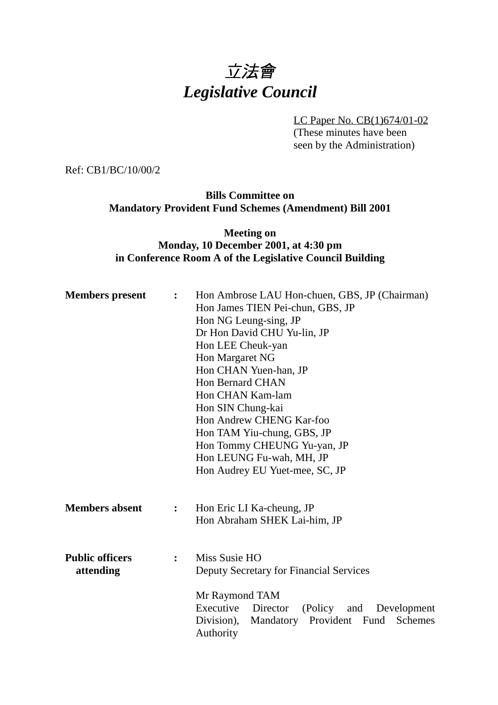# 立法會 *Legislative Council*

LC Paper No. CB(1)674/01-02 (These minutes have been seen by the Administration)

Ref: CB1/BC/10/00/2

**Bills Committee on Mandatory Provident Fund Schemes (Amendment) Bill 2001**

**Meeting on Monday, 10 December 2001, at 4:30 pm in Conference Room A of the Legislative Council Building**

| <b>Members</b> present              | :              | Hon Ambrose LAU Hon-chuen, GBS, JP (Chairman)<br>Hon James TIEN Pei-chun, GBS, JP<br>Hon NG Leung-sing, JP<br>Dr Hon David CHU Yu-lin, JP<br>Hon LEE Cheuk-yan<br>Hon Margaret NG<br>Hon CHAN Yuen-han, JP<br><b>Hon Bernard CHAN</b><br>Hon CHAN Kam-lam<br>Hon SIN Chung-kai<br>Hon Andrew CHENG Kar-foo<br>Hon TAM Yiu-chung, GBS, JP<br>Hon Tommy CHEUNG Yu-yan, JP<br>Hon LEUNG Fu-wah, MH, JP |
|-------------------------------------|----------------|-----------------------------------------------------------------------------------------------------------------------------------------------------------------------------------------------------------------------------------------------------------------------------------------------------------------------------------------------------------------------------------------------------|
| <b>Members absent</b>               | $\ddot{\cdot}$ | Hon Audrey EU Yuet-mee, SC, JP<br>Hon Eric LI Ka-cheung, JP<br>Hon Abraham SHEK Lai-him, JP                                                                                                                                                                                                                                                                                                         |
| <b>Public officers</b><br>attending | $\ddot{\cdot}$ | Miss Susie HO<br>Deputy Secretary for Financial Services                                                                                                                                                                                                                                                                                                                                            |
|                                     |                | Mr Raymond TAM<br>Executive<br>Director<br>(Policy)<br>Development<br>and<br>Division),<br>Mandatory Provident Fund<br>Schemes<br>Authority                                                                                                                                                                                                                                                         |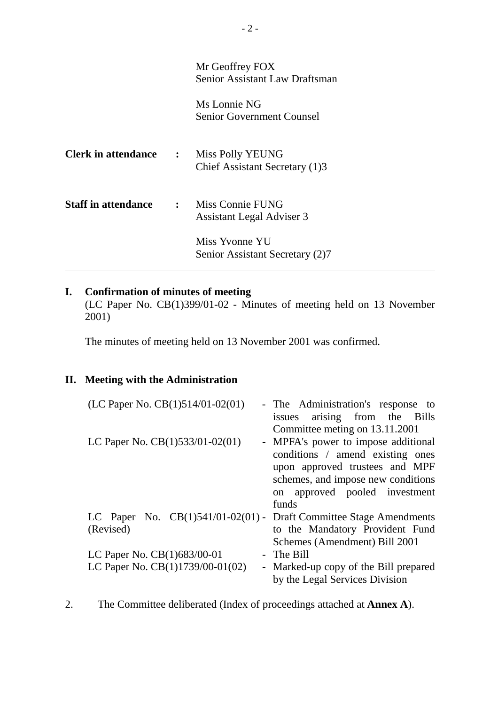|                                               | Mr Geoffrey FOX<br>Senior Assistant Law Draftsman      |
|-----------------------------------------------|--------------------------------------------------------|
|                                               | Ms Lonnie NG<br><b>Senior Government Counsel</b>       |
| <b>Clerk in attendance : Miss Polly YEUNG</b> | Chief Assistant Secretary (1)3                         |
| <b>Staff in attendance</b>                    | : Miss Connie FUNG<br><b>Assistant Legal Adviser 3</b> |
|                                               | Miss Yvonne YU<br>Senior Assistant Secretary (2)7      |

#### **I. Confirmation of minutes of meeting**

(LC Paper No. CB(1)399/01-02 - Minutes of meeting held on 13 November 2001)

The minutes of meeting held on 13 November 2001 was confirmed.

## **II. Meeting with the Administration**

| - The Administration's response to<br>issues arising from the Bills     |
|-------------------------------------------------------------------------|
| Committee meting on 13.11.2001                                          |
| - MPFA's power to impose additional                                     |
| conditions / amend existing ones                                        |
| upon approved trustees and MPF                                          |
| schemes, and impose new conditions                                      |
| on approved pooled investment                                           |
| funds                                                                   |
| LC Paper No. $CB(1)541/01-02(01)$ - Draft Committee Stage Amendments    |
| to the Mandatory Provident Fund                                         |
| Schemes (Amendment) Bill 2001                                           |
| The Bill                                                                |
| - Marked-up copy of the Bill prepared<br>by the Legal Services Division |
|                                                                         |

2. The Committee deliberated (Index of proceedings attached at **Annex A**).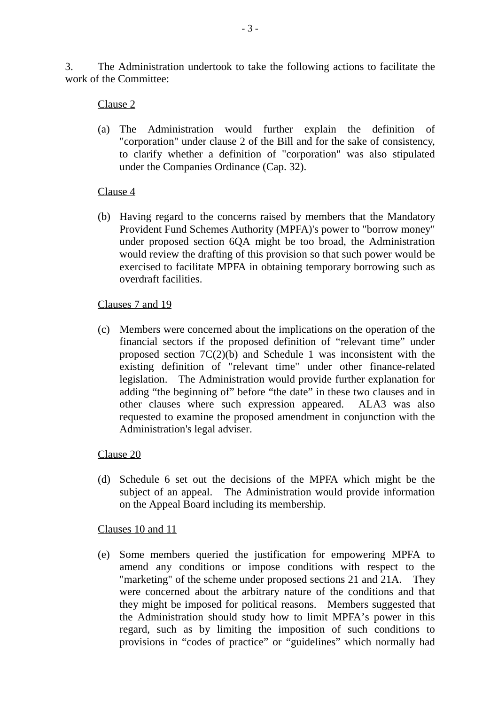3. The Administration undertook to take the following actions to facilitate the work of the Committee:

#### Clause 2

(a) The Administration would further explain the definition of "corporation" under clause 2 of the Bill and for the sake of consistency, to clarify whether a definition of "corporation" was also stipulated under the Companies Ordinance (Cap. 32).

#### Clause 4

(b) Having regard to the concerns raised by members that the Mandatory Provident Fund Schemes Authority (MPFA)'s power to "borrow money" under proposed section 6QA might be too broad, the Administration would review the drafting of this provision so that such power would be exercised to facilitate MPFA in obtaining temporary borrowing such as overdraft facilities.

#### Clauses 7 and 19

(c) Members were concerned about the implications on the operation of the financial sectors if the proposed definition of "relevant time" under proposed section  $7C(2)(b)$  and Schedule 1 was inconsistent with the existing definition of "relevant time" under other finance-related legislation. The Administration would provide further explanation for adding "the beginning of" before "the date" in these two clauses and in other clauses where such expression appeared. ALA3 was also requested to examine the proposed amendment in conjunction with the Administration's legal adviser.

## Clause 20

(d) Schedule 6 set out the decisions of the MPFA which might be the subject of an appeal. The Administration would provide information on the Appeal Board including its membership.

#### Clauses 10 and 11

(e) Some members queried the justification for empowering MPFA to amend any conditions or impose conditions with respect to the "marketing" of the scheme under proposed sections 21 and 21A. They were concerned about the arbitrary nature of the conditions and that they might be imposed for political reasons. Members suggested that the Administration should study how to limit MPFA's power in this regard, such as by limiting the imposition of such conditions to provisions in "codes of practice" or "guidelines" which normally had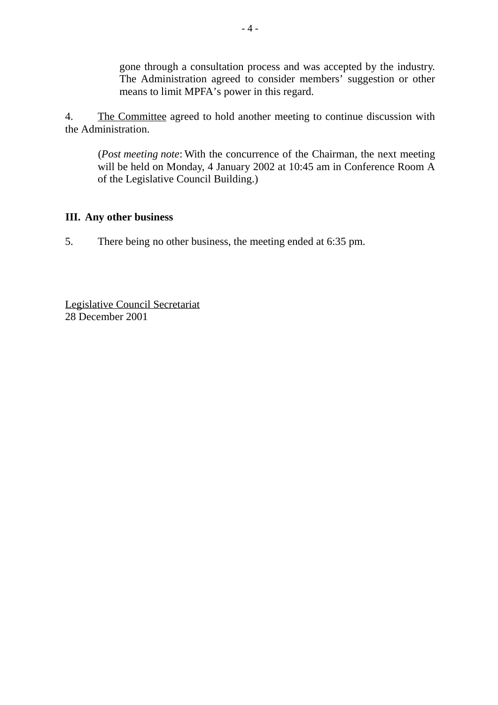gone through a consultation process and was accepted by the industry. The Administration agreed to consider members' suggestion or other means to limit MPFA's power in this regard.

4. The Committee agreed to hold another meeting to continue discussion with the Administration.

(*Post meeting note*: With the concurrence of the Chairman, the next meeting will be held on Monday, 4 January 2002 at 10:45 am in Conference Room A of the Legislative Council Building.)

#### **III. Any other business**

5. There being no other business, the meeting ended at 6:35 pm.

Legislative Council Secretariat 28 December 2001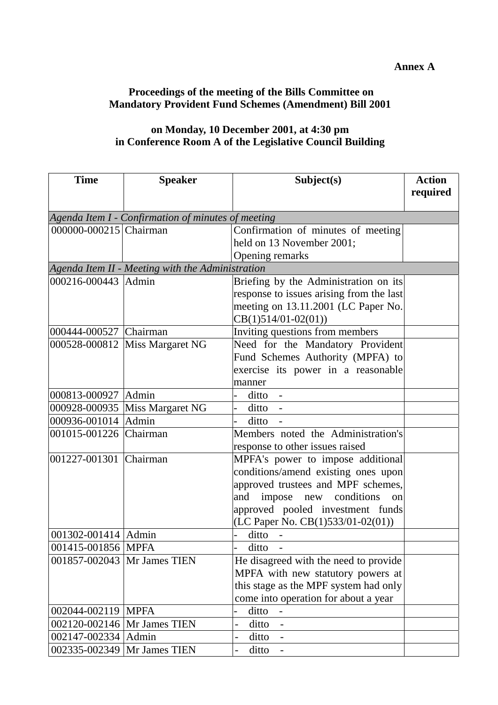#### **Annex A**

# **Proceedings of the meeting of the Bills Committee on Mandatory Provident Fund Schemes (Amendment) Bill 2001**

# **on Monday, 10 December 2001, at 4:30 pm in Conference Room A of the Legislative Council Building**

| <b>Time</b>                   | <b>Speaker</b>                                     | Subject(s)                                                        | <b>Action</b> |
|-------------------------------|----------------------------------------------------|-------------------------------------------------------------------|---------------|
|                               |                                                    |                                                                   | required      |
|                               |                                                    |                                                                   |               |
|                               | Agenda Item I - Confirmation of minutes of meeting |                                                                   |               |
| 000000-000215 Chairman        |                                                    | Confirmation of minutes of meeting                                |               |
|                               |                                                    | held on 13 November 2001;                                         |               |
|                               |                                                    | Opening remarks                                                   |               |
| 000216-000443 Admin           | Agenda Item II - Meeting with the Administration   |                                                                   |               |
|                               |                                                    | Briefing by the Administration on its                             |               |
|                               |                                                    | response to issues arising from the last                          |               |
|                               |                                                    | meeting on 13.11.2001 (LC Paper No.                               |               |
| 000444-000527 Chairman        |                                                    | $CB(1)514/01-02(01))$                                             |               |
|                               |                                                    | Inviting questions from members                                   |               |
|                               | 000528-000812 Miss Margaret NG                     | Need for the Mandatory Provident                                  |               |
|                               |                                                    | Fund Schemes Authority (MPFA) to                                  |               |
|                               |                                                    | exercise its power in a reasonable                                |               |
|                               |                                                    | manner                                                            |               |
| 000813-000927   Admin         |                                                    | $ditto -$                                                         |               |
|                               | 000928-000935 Miss Margaret NG                     | $ditto -$                                                         |               |
| 000936-001014 Admin           |                                                    | ditto                                                             |               |
| 001015-001226 Chairman        |                                                    | Members noted the Administration's                                |               |
|                               |                                                    | response to other issues raised                                   |               |
| 001227-001301 Chairman        |                                                    | MPFA's power to impose additional                                 |               |
|                               |                                                    | conditions/amend existing ones upon                               |               |
|                               |                                                    | approved trustees and MPF schemes,                                |               |
|                               |                                                    | impose new conditions<br>and<br>on                                |               |
|                               |                                                    | approved pooled investment funds                                  |               |
|                               |                                                    | (LC Paper No. CB(1)533/01-02(01))                                 |               |
| 001302-001414   Admin         |                                                    | ditto                                                             |               |
| 001415-001856 MPFA            |                                                    | ditto                                                             |               |
|                               | 001857-002043   Mr James TIEN                      | He disagreed with the need to provide                             |               |
|                               |                                                    | MPFA with new statutory powers at                                 |               |
|                               |                                                    | this stage as the MPF system had only                             |               |
|                               |                                                    | come into operation for about a year                              |               |
| 002044-002119   MPFA          |                                                    | ditto                                                             |               |
|                               | 002120-002146   Mr James TIEN                      | ditto<br>$\overline{\phantom{0}}$<br>$\qquad \qquad \blacksquare$ |               |
| 002147-002334 Admin           |                                                    | ditto                                                             |               |
| 002335-002349   Mr James TIEN |                                                    | ditto                                                             |               |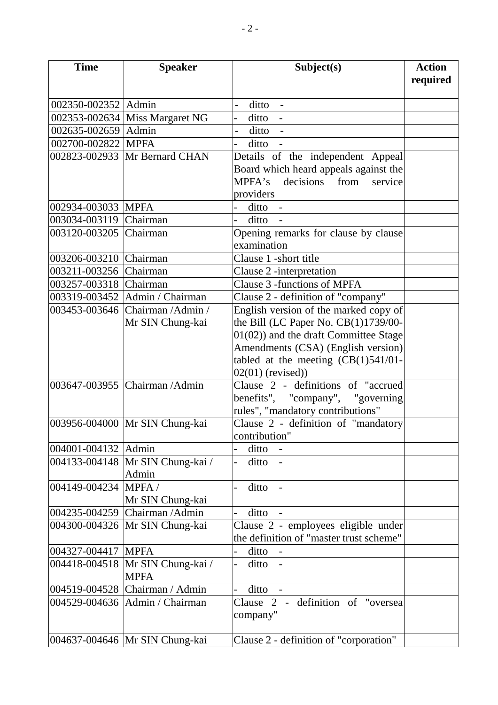| <b>Time</b>            | <b>Speaker</b>                            | Subject(s)                               | <b>Action</b><br>required |
|------------------------|-------------------------------------------|------------------------------------------|---------------------------|
| 002350-002352 Admin    |                                           | $ditto -$                                |                           |
|                        | 002353-002634 Miss Margaret NG            | ditto -                                  |                           |
| 002635-002659 Admin    |                                           | $ditto -$                                |                           |
| 002700-002822 MPFA     |                                           | ditto -                                  |                           |
|                        | 002823-002933 Mr Bernard CHAN             | Details of the independent Appeal        |                           |
|                        |                                           | Board which heard appeals against the    |                           |
|                        |                                           | MPFA's<br>decisions<br>from<br>service   |                           |
|                        |                                           | providers                                |                           |
| 002934-003033 MPFA     |                                           | ditto -                                  |                           |
| 003034-003119          | <b>Chairman</b>                           | ditto                                    |                           |
| 003120-003205 Chairman |                                           | Opening remarks for clause by clause     |                           |
|                        |                                           | examination                              |                           |
| 003206-003210 Chairman |                                           | Clause 1 -short title                    |                           |
| 003211-003256 Chairman |                                           | Clause 2 -interpretation                 |                           |
| 003257-003318 Chairman |                                           | Clause 3 -functions of MPFA              |                           |
|                        | 003319-003452   Admin / Chairman          | Clause 2 - definition of "company"       |                           |
|                        | 003453-003646 Chairman / Admin /          | English version of the marked copy of    |                           |
|                        | Mr SIN Chung-kai                          | the Bill (LC Paper No. CB(1)1739/00-     |                           |
|                        |                                           | $01(02)$ ) and the draft Committee Stage |                           |
|                        |                                           | Amendments (CSA) (English version)       |                           |
|                        |                                           | tabled at the meeting $(CB(1)541/01 -$   |                           |
|                        |                                           | $02(01)$ (revised))                      |                           |
|                        | 003647-003955 Chairman / Admin            | Clause 2 - definitions of "accrued       |                           |
|                        |                                           | benefits", "company", "governing         |                           |
|                        |                                           | rules", "mandatory contributions"        |                           |
|                        | 003956-004000 Mr SIN Chung-kai            | Clause 2 - definition of "mandatory      |                           |
|                        |                                           | contribution"                            |                           |
| 004001-004132 Admin    |                                           | ditto                                    |                           |
|                        | 004133-004148 Mr SIN Chung-kai /<br>Admin | ditto -                                  |                           |
| 004149-004234          | MPFA/                                     | ditto<br>$\sim$ $-$                      |                           |
|                        | Mr SIN Chung-kai                          |                                          |                           |
|                        | 004235-004259 Chairman / Admin            | ditto                                    |                           |
|                        | 004300-004326 Mr SIN Chung-kai            | Clause 2 - employees eligible under      |                           |
|                        |                                           | the definition of "master trust scheme"  |                           |
| 004327-004417 MPFA     |                                           | ditto                                    |                           |
|                        | 004418-004518 Mr SIN Chung-kai /          | ditto -<br>$\overline{a}$                |                           |
|                        | <b>MPFA</b>                               |                                          |                           |
|                        | 004519-004528 Chairman / Admin            | ditto<br>$\sim$ $-$                      |                           |
|                        | 004529-004636   Admin / Chairman          | Clause 2 - definition of "oversea        |                           |
|                        |                                           | company"                                 |                           |
|                        | 004637-004646   Mr SIN Chung-kai          | Clause 2 - definition of "corporation"   |                           |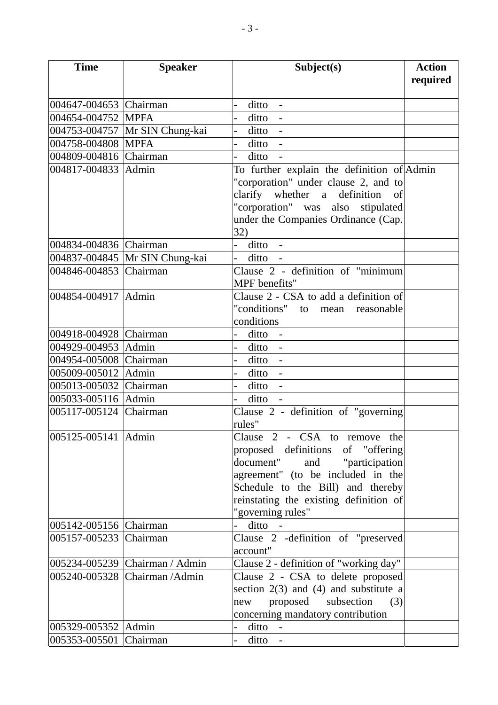| <b>Time</b>            | <b>Speaker</b>                 | Subject(s)                                 | <b>Action</b> |
|------------------------|--------------------------------|--------------------------------------------|---------------|
|                        |                                |                                            | required      |
|                        |                                |                                            |               |
| 004647-004653 Chairman |                                | $ditto -$                                  |               |
| 004654-004752 MPFA     |                                | ditto -                                    |               |
|                        | 004753-004757 Mr SIN Chung-kai | $ditto -$                                  |               |
| 004758-004808 MPFA     |                                | ditto -                                    |               |
| 004809-004816 Chairman |                                | ditto                                      |               |
| 004817-004833 Admin    |                                | To further explain the definition of Admin |               |
|                        |                                | "corporation" under clause 2, and to       |               |
|                        |                                | clarify whether a definition of            |               |
|                        |                                | "corporation" was also stipulated          |               |
|                        |                                | under the Companies Ordinance (Cap.        |               |
|                        |                                | 32)                                        |               |
| 004834-004836 Chairman |                                | ditto -<br>$\overline{a}$                  |               |
|                        | 004837-004845 Mr SIN Chung-kai | $ditto -$                                  |               |
| 004846-004853 Chairman |                                | Clause 2 - definition of "minimum          |               |
|                        |                                | MPF benefits"                              |               |
| 004854-004917 Admin    |                                | Clause 2 - CSA to add a definition of      |               |
|                        |                                | "conditions" to mean reasonable            |               |
|                        |                                | conditions                                 |               |
| 004918-004928 Chairman |                                | $ditto -$                                  |               |
| 004929-004953 Admin    |                                | $ditto -$                                  |               |
| 004954-005008 Chairman |                                | ditto -                                    |               |
| 005009-005012 Admin    |                                | $ditto -$                                  |               |
| 005013-005032 Chairman |                                | ditto                                      |               |
| 005033-005116 Admin    |                                | ditto -                                    |               |
| 005117-005124 Chairman |                                | Clause 2 - definition of "governing        |               |
|                        |                                | rules"                                     |               |
| 005125-005141 Admin    |                                | Clause 2 - CSA to remove the               |               |
|                        |                                | proposed definitions of "offering          |               |
|                        |                                | document"<br>and "participation            |               |
|                        |                                | agreement" (to be included in the          |               |
|                        |                                | Schedule to the Bill) and thereby          |               |
|                        |                                | reinstating the existing definition of     |               |
|                        |                                | "governing rules"                          |               |
| 005142-005156 Chairman |                                | ditto -                                    |               |
| 005157-005233 Chairman |                                | Clause 2 -definition of "preserved         |               |
|                        |                                | account"                                   |               |
|                        | 005234-005239 Chairman / Admin | Clause 2 - definition of "working day"     |               |
|                        | 005240-005328 Chairman / Admin | Clause 2 - CSA to delete proposed          |               |
|                        |                                | section $2(3)$ and $(4)$ and substitute a  |               |
|                        |                                | proposed subsection<br>(3)<br>new          |               |
|                        |                                | concerning mandatory contribution          |               |
| 005329-005352 Admin    |                                | $ditto -$                                  |               |
| 005353-005501 Chairman |                                | $ditto -$<br>$\overline{\phantom{0}}$      |               |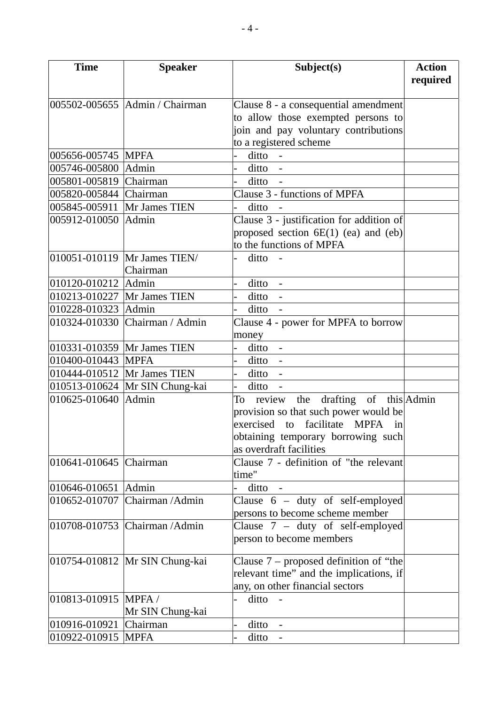| <b>Time</b>                 | <b>Speaker</b>                 | Subject(s)                                | <b>Action</b> |
|-----------------------------|--------------------------------|-------------------------------------------|---------------|
|                             |                                |                                           | required      |
|                             | 005502-005655 Admin / Chairman | Clause 8 - a consequential amendment      |               |
|                             |                                | to allow those exempted persons to        |               |
|                             |                                | join and pay voluntary contributions      |               |
|                             |                                | to a registered scheme                    |               |
| 005656-005745 MPFA          |                                | ditto -<br>$\overline{a}$                 |               |
| 005746-005800               | Admin                          | $ditto -$                                 |               |
| 005801-005819 Chairman      |                                | ditto                                     |               |
| 005820-005844 Chairman      |                                | Clause 3 - functions of MPFA              |               |
| 005845-005911               | Mr James TIEN                  | ditto                                     |               |
| 005912-010050               | Admin                          | Clause 3 - justification for addition of  |               |
|                             |                                | proposed section $6E(1)$ (ea) and (eb)    |               |
|                             |                                | to the functions of MPFA                  |               |
|                             | 010051-010119 Mr James TIEN/   | ditto -                                   |               |
|                             | Chairman                       |                                           |               |
| 010120-010212 Admin         |                                | ditto -                                   |               |
| 010213-010227 Mr James TIEN |                                | $ditto -$<br>$\overline{a}$               |               |
| 010228-010323 Admin         |                                | ditto -<br>$\overline{a}$                 |               |
|                             | 010324-010330 Chairman / Admin | Clause 4 - power for MPFA to borrow       |               |
|                             |                                | money                                     |               |
|                             | 010331-010359 Mr James TIEN    | ditto -                                   |               |
| 010400-010443 MPFA          |                                | ditto -                                   |               |
|                             | 010444-010512 Mr James TIEN    | $ditto -$                                 |               |
|                             | 010513-010624 Mr SIN Chung-kai | $\overline{a}$<br>ditto -                 |               |
| 010625-010640 Admin         |                                | To review the drafting of this Admin      |               |
|                             |                                | provision so that such power would be     |               |
|                             |                                | exercised to facilitate MPFA<br>1n        |               |
|                             |                                | obtaining temporary borrowing such        |               |
|                             |                                | as overdraft facilities                   |               |
| 010641-010645 Chairman      |                                | Clause 7 - definition of "the relevant    |               |
|                             |                                | time"                                     |               |
| 010646-010651               | Admin                          | ditto                                     |               |
|                             | 010652-010707 Chairman / Admin | Clause $6 - \frac{d}{d}$ of self-employed |               |
|                             |                                | persons to become scheme member           |               |
|                             | 010708-010753 Chairman / Admin | Clause $7 - \text{duty}$ of self-employed |               |
|                             |                                | person to become members                  |               |
|                             |                                |                                           |               |
|                             | 010754-010812 Mr SIN Chung-kai | Clause $7$ – proposed definition of "the  |               |
|                             |                                | relevant time" and the implications, if   |               |
|                             |                                | any, on other financial sectors           |               |
| 010813-010915 MPFA /        |                                | ditto                                     |               |
|                             | Mr SIN Chung-kai               |                                           |               |
| 010916-010921               | Chairman                       | $ditto -$                                 |               |
| 010922-010915 MPFA          |                                | $ditto -$                                 |               |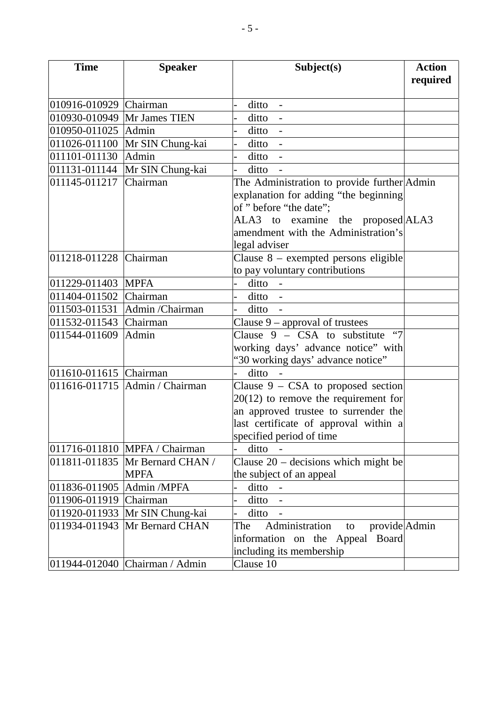| <b>Time</b>            | <b>Speaker</b>                 | Subject(s)                                       | <b>Action</b><br>required |
|------------------------|--------------------------------|--------------------------------------------------|---------------------------|
| 010916-010929 Chairman |                                |                                                  |                           |
|                        |                                | ditto                                            |                           |
| 010930-010949          | Mr James TIEN                  | ditto<br>$\blacksquare$                          |                           |
| 010950-011025          | Admin                          | $ditto -$                                        |                           |
| 011026-011100          | Mr SIN Chung-kai               | ditto -                                          |                           |
| 011101-011130          | Admin                          | $ditto -$                                        |                           |
| 011131-011144          | Mr SIN Chung-kai               | ditto                                            |                           |
| 011145-011217          | Chairman                       | The Administration to provide further Admin      |                           |
|                        |                                | explanation for adding "the beginning            |                           |
|                        |                                | of " before "the date";                          |                           |
|                        |                                | ALA3 to examine the proposed ALA3                |                           |
|                        |                                | amendment with the Administration's              |                           |
|                        |                                | legal adviser                                    |                           |
| 011218-011228 Chairman |                                | Clause $8$ – exempted persons eligible           |                           |
|                        |                                | to pay voluntary contributions                   |                           |
| 011229-011403          | <b>MPFA</b>                    | ditto -                                          |                           |
| 011404-011502          | Chairman                       | $ditto -$                                        |                           |
| 011503-011531          | Admin /Chairman                | $ditto -$                                        |                           |
| 011532-011543          | Chairman                       | Clause $9$ – approval of trustees                |                           |
| 011544-011609          | Admin                          | Clause $9 -$ CSA to substitute<br>$\lq\lq\lq\lq$ |                           |
|                        |                                | working days' advance notice" with               |                           |
|                        |                                | "30 working days' advance notice"                |                           |
| 011610-011615 Chairman |                                | ditto                                            |                           |
| 011616-011715          | Admin / Chairman               | Clause $9 - CSA$ to proposed section             |                           |
|                        |                                | $20(12)$ to remove the requirement for           |                           |
|                        |                                | an approved trustee to surrender the             |                           |
|                        |                                | last certificate of approval within a            |                           |
|                        |                                | specified period of time                         |                           |
|                        | 011716-011810 MPFA / Chairman  | ditto                                            |                           |
| 011811-011835          | Mr Bernard CHAN /              | Clause $20$ – decisions which might be           |                           |
|                        | <b>MPFA</b>                    | the subject of an appeal                         |                           |
| 011836-011905          | Admin /MPFA                    | ditto -                                          |                           |
| 011906-011919          | Chairman                       | $ditto -$                                        |                           |
| 011920-011933          | Mr SIN Chung-kai               | ditto                                            |                           |
| 011934-011943          | Mr Bernard CHAN                | The<br>Administration<br>provide Admin<br>to     |                           |
|                        |                                | information on the Appeal<br><b>Board</b>        |                           |
|                        |                                | including its membership                         |                           |
|                        | 011944-012040 Chairman / Admin | Clause 10                                        |                           |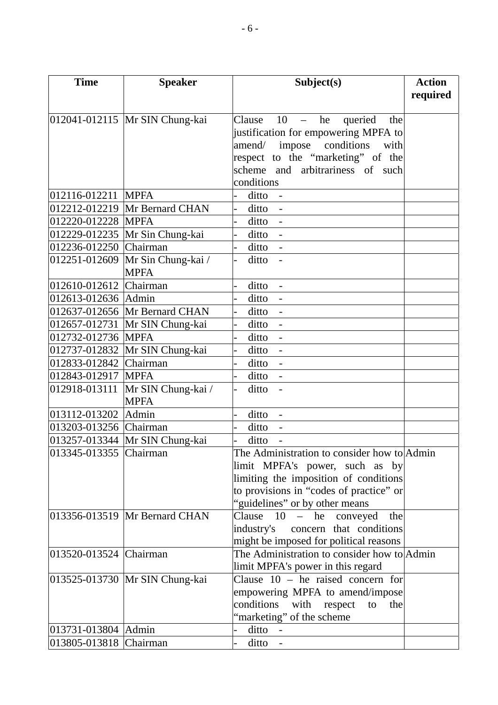| <b>Time</b>            | <b>Speaker</b>                                  | Subject(s)                                      | <b>Action</b> |
|------------------------|-------------------------------------------------|-------------------------------------------------|---------------|
|                        |                                                 |                                                 | required      |
|                        | 012041-012115 Mr SIN Chung-kai                  | Clause<br>$10 -$<br>he<br>queried<br>the        |               |
|                        |                                                 | justification for empowering MPFA to            |               |
|                        |                                                 | amend/ impose conditions<br>with                |               |
|                        |                                                 | respect to the "marketing" of the               |               |
|                        |                                                 | scheme and arbitrariness of such                |               |
|                        |                                                 | conditions                                      |               |
| 012116-012211          | <b>MPFA</b>                                     | ditto                                           |               |
|                        | 012212-012219 Mr Bernard CHAN                   | ditto<br>$\overline{\phantom{0}}$<br>$\sim$ $-$ |               |
| 012220-012228 MPFA     |                                                 | $ditto -$<br>$\overline{a}$                     |               |
|                        | 012229-012235 Mr Sin Chung-kai                  | ditto -                                         |               |
| 012236-012250 Chairman |                                                 | $ditto -$<br>$\overline{a}$                     |               |
|                        | $\overline{01225}1 - 012609$ Mr Sin Chung-kai / | ditto -<br>$\overline{a}$                       |               |
|                        | <b>MPFA</b>                                     |                                                 |               |
| 012610-012612 Chairman |                                                 | ditto                                           |               |
| 012613-012636 Admin    |                                                 | ditto<br>$\overline{\phantom{a}}$               |               |
|                        | 012637-012656 Mr Bernard CHAN                   | $ditto -$                                       |               |
|                        | 012657-012731   Mr SIN Chung-kai                | ditto -                                         |               |
| 012732-012736 MPFA     |                                                 | ditto                                           |               |
|                        | 012737-012832 Mr SIN Chung-kai                  | ditto<br>$\sim$ $-$                             |               |
| 012833-012842 Chairman |                                                 | $ditto -$                                       |               |
| 012843-012917 MPFA     |                                                 | ditto -                                         |               |
| 012918-013111          | Mr SIN Chung-kai /                              | ditto<br>$\overline{a}$<br>$\sim$               |               |
|                        | <b>MPFA</b>                                     |                                                 |               |
| 013112-013202 Admin    |                                                 | ditto<br>$\blacksquare$                         |               |
| 013203-013256 Chairman |                                                 | ditto                                           |               |
|                        | 013257-013344 Mr SIN Chung-kai                  | ditto                                           |               |
| 013345-013355 Chairman |                                                 | The Administration to consider how to Admin     |               |
|                        |                                                 | limit MPFA's power, such as by                  |               |
|                        |                                                 | limiting the imposition of conditions           |               |
|                        |                                                 | to provisions in "codes of practice" or         |               |
|                        |                                                 | "guidelines" or by other means                  |               |
|                        | 013356-013519 Mr Bernard CHAN                   | Clause $10 - he$ conveyed<br>the                |               |
|                        |                                                 | concern that conditions<br>industry's           |               |
|                        |                                                 | might be imposed for political reasons          |               |
| 013520-013524 Chairman |                                                 | The Administration to consider how to Admin     |               |
|                        |                                                 | limit MPFA's power in this regard               |               |
|                        | 013525-013730 Mr SIN Chung-kai                  | Clause $10$ – he raised concern for             |               |
|                        |                                                 | empowering MPFA to amend/impose                 |               |
|                        |                                                 | conditions<br>with<br>the<br>respect<br>to      |               |
|                        |                                                 | "marketing" of the scheme                       |               |
| 013731-013804 Admin    |                                                 | ditto -                                         |               |
| 013805-013818 Chairman |                                                 | ditto                                           |               |